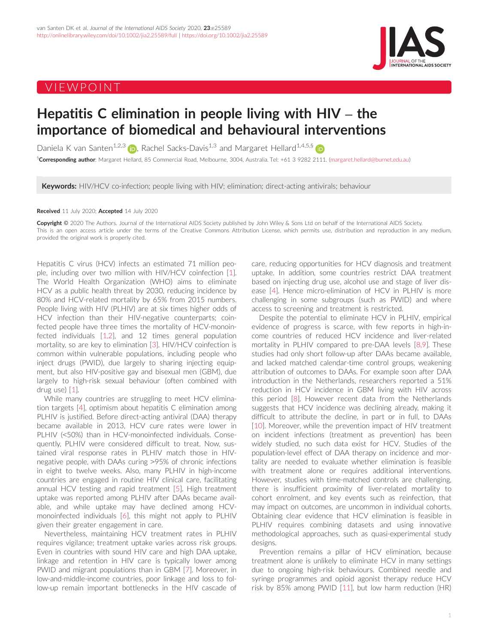# VIEWPOINT



# Hepatitis C elimination in people living with HIV – the importance of biomedical and behavioural interventions

Daniela K van Santen<sup>1,2,3</sup> (b), Rachel Sacks-Davis<sup>1,3</sup> and Margaret Hellard<sup>1,4,5,[§](https://orcid.org/0000-0002-5055-3266)</sup> (b)

§**Corresponding author**: Margaret Hellard, 85 Commercial Road, Melbourne, 3004, Australia. Tel: +61 3 9282 2111. ([margaret.hellard@burnet.edu.au](mailto:margaret.hellard@burnet.edu.au))

**Keywords:** HIV/HCV co-infection; people living with HIV; elimination; direct-acting antivirals; behaviour

## Received 11 July 2020; Accepted 14 July 2020

Copyright © 2020 The Authors. Journal of the International AIDS Society published by John Wiley & Sons Ltd on behalf of the International AIDS Society. This is an open access article under the terms of the [Creative Commons Attribution](http://creativecommons.org/licenses/by/4.0/) License, which permits use, distribution and reproduction in any medium, provided the original work is properly cited.

Hepatitis C virus (HCV) infects an estimated 71 million people, including over two million with HIV/HCV coinfection [\[1](#page-1-0)]. The World Health Organization (WHO) aims to eliminate HCV as a public health threat by 2030, reducing incidence by 80% and HCV-related mortality by 65% from 2015 numbers. People living with HIV (PLHIV) are at six times higher odds of HCV infection than their HIV-negative counterparts; coinfected people have three times the mortality of HCV-monoinfected individuals [[1,2\]](#page-1-0), and 12 times general population mortality, so are key to elimination [[3\]](#page-1-0). HIV/HCV coinfection is common within vulnerable populations, including people who inject drugs (PWID), due largely to sharing injecting equipment, but also HIV-positive gay and bisexual men (GBM), due largely to high-risk sexual behaviour (often combined with drug use) [[1\]](#page-1-0).

While many countries are struggling to meet HCV elimination targets [[4\]](#page-1-0), optimism about hepatitis C elimination among PLHIV is justified. Before direct-acting antiviral (DAA) therapy became available in 2013, HCV cure rates were lower in PLHIV (<50%) than in HCV-monoinfected individuals. Consequently, PLHIV were considered difficult to treat. Now, sustained viral response rates in PLHIV match those in HIVnegative people, with DAAs curing >95% of chronic infections in eight to twelve weeks. Also, many PLHIV in high-income countries are engaged in routine HIV clinical care, facilitating annual HCV testing and rapid treatment [\[5\]](#page-1-0). High treatment uptake was reported among PLHIV after DAAs became available, and while uptake may have declined among HCVmonoinfected individuals [[6](#page-1-0)], this might not apply to PLHIV given their greater engagement in care.

Nevertheless, maintaining HCV treatment rates in PLHIV requires vigilance; treatment uptake varies across risk groups. Even in countries with sound HIV care and high DAA uptake, linkage and retention in HIV care is typically lower among PWID and migrant populations than in GBM [\[7\]](#page-1-0). Moreover, in low-and-middle-income countries, poor linkage and loss to follow-up remain important bottlenecks in the HIV cascade of care, reducing opportunities for HCV diagnosis and treatment uptake. In addition, some countries restrict DAA treatment based on injecting drug use, alcohol use and stage of liver disease [\[4](#page-1-0)]. Hence micro-elimination of HCV in PLHIV is more challenging in some subgroups (such as PWID) and where access to screening and treatment is restricted.

Despite the potential to eliminate HCV in PLHIV, empirical evidence of progress is scarce, with few reports in high-income countries of reduced HCV incidence and liver-related mortality in PLHIV compared to pre-DAA levels [[8,9\]](#page-1-0). These studies had only short follow-up after DAAs became available, and lacked matched calendar-time control groups, weakening attribution of outcomes to DAAs. For example soon after DAA introduction in the Netherlands, researchers reported a 51% reduction in HCV incidence in GBM living with HIV across this period [[8\]](#page-1-0). However recent data from the Netherlands suggests that HCV incidence was declining already, making it difficult to attribute the decline, in part or in full, to DAAs [[10\]](#page-2-0). Moreover, while the prevention impact of HIV treatment on incident infections (treatment as prevention) has been widely studied, no such data exist for HCV. Studies of the population-level effect of DAA therapy on incidence and mortality are needed to evaluate whether elimination is feasible with treatment alone or requires additional interventions. However, studies with time-matched controls are challenging, there is insufficient proximity of liver-related mortality to cohort enrolment, and key events such as reinfection, that may impact on outcomes, are uncommon in individual cohorts. Obtaining clear evidence that HCV elimination is feasible in PLHIV requires combining datasets and using innovative methodological approaches, such as quasi-experimental study designs.

Prevention remains a pillar of HCV elimination, because treatment alone is unlikely to eliminate HCV in many settings due to ongoing high-risk behaviours. Combined needle and syringe programmes and opioid agonist therapy reduce HCV risk by 85% among PWID [[11](#page-2-0)], but low harm reduction (HR)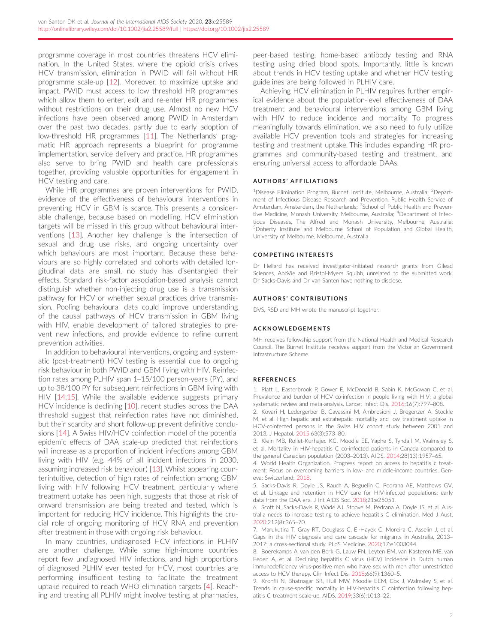<span id="page-1-0"></span>programme coverage in most countries threatens HCV elimination. In the United States, where the opioid crisis drives HCV transmission, elimination in PWID will fail without HR programme scale-up [\[12\]](#page-2-0). Moreover, to maximize uptake and impact, PWID must access to low threshold HR programmes which allow them to enter, exit and re-enter HR programmes without restrictions on their drug use. Almost no new HCV infections have been observed among PWID in Amsterdam over the past two decades, partly due to early adoption of low-threshold HR programmes [[11](#page-2-0)]. The Netherlands' pragmatic HR approach represents a blueprint for programme implementation, service delivery and practice. HR programmes also serve to bring PWID and health care professionals together, providing valuable opportunities for engagement in HCV testing and care.

While HR programmes are proven interventions for PWID, evidence of the effectiveness of behavioural interventions in preventing HCV in GBM is scarce. This presents a considerable challenge, because based on modelling, HCV elimination targets will be missed in this group without behavioural interventions [[13\]](#page-2-0). Another key challenge is the intersection of sexual and drug use risks, and ongoing uncertainty over which behaviours are most important. Because these behaviours are so highly correlated and cohorts with detailed longitudinal data are small, no study has disentangled their effects. Standard risk-factor association-based analysis cannot distinguish whether non-injecting drug use is a transmission pathway for HCV or whether sexual practices drive transmission. Pooling behavioural data could improve understanding of the causal pathways of HCV transmission in GBM living with HIV, enable development of tailored strategies to prevent new infections, and provide evidence to refine current prevention activities.

In addition to behavioural interventions, ongoing and systematic (post-treatment) HCV testing is essential due to ongoing risk behaviour in both PWID and GBM living with HIV. Reinfection rates among PLHIV span 1–15/100 person-years (PY), and up to 38/100 PY for subsequent reinfections in GBM living with HIV [\[14,15](#page-2-0)]. While the available evidence suggests primary HCV incidence is declining [\[10](#page-2-0)], recent studies across the DAA threshold suggest that reinfection rates have not diminished, but their scarcity and short follow-up prevent definitive conclusions [\[14](#page-2-0)]. A Swiss HIV/HCV coinfection model of the potential epidemic effects of DAA scale-up predicted that reinfections will increase as a proportion of incident infections among GBM living with HIV (e.g. 44% of all incident infections in 2030, assuming increased risk behaviour) [[13\]](#page-2-0). Whilst appearing counterintuitive, detection of high rates of reinfection among GBM living with HIV following HCV treatment, particularly where treatment uptake has been high, suggests that those at risk of onward transmission are being treated and tested, which is important for reducing HCV incidence. This highlights the crucial role of ongoing monitoring of HCV RNA and prevention after treatment in those with ongoing risk behaviour.

In many countries, undiagnosed HCV infections in PLHIV are another challenge. While some high-income countries report few undiagnosed HIV infections, and high proportions of diagnosed PLHIV ever tested for HCV, most countries are performing insufficient testing to facilitate the treatment uptake required to reach WHO elimination targets [4]. Reaching and treating all PLHIV might involve testing at pharmacies, peer-based testing, home-based antibody testing and RNA testing using dried blood spots. Importantly, little is known about trends in HCV testing uptake and whether HCV testing guidelines are being followed in PLHIV care.

Achieving HCV elimination in PLHIV requires further empirical evidence about the population-level effectiveness of DAA treatment and behavioural interventions among GBM living with HIV to reduce incidence and mortality. To progress meaningfully towards elimination, we also need to fully utilize available HCV prevention tools and strategies for increasing testing and treatment uptake. This includes expanding HR programmes and community-based testing and treatment, and ensuring universal access to affordable DAAs.

## AUTHORS ' AFFILIATIONS

<sup>1</sup>Disease Elimination Program, Burnet Institute, Melbourne, Australia; <sup>2</sup>Department of Infectious Disease Research and Prevention, Public Health Service of Amsterdam, Amsterdam, the Netherlands; <sup>3</sup>School of Public Health and Preventive Medicine, Monash University, Melbourne, Australia; <sup>4</sup>Department of Infectious Diseases, The Alfred and Monash University, Melbourne, Australia; 5 Doherty Institute and Melbourne School of Population and Global Health, University of Melbourne, Melbourne, Australia

#### COMPETING INTERESTS

Dr Hellard has received investigator-initiated research grants from Gilead Sciences, AbbVie and Bristol-Myers Squibb, unrelated to the submitted work. Dr Sacks-Davis and Dr van Santen have nothing to disclose.

# AUTHORS' CONTRIBUTIONS

DVS, RSD and MH wrote the manuscript together.

#### ACKNOWLEDGEMENTS

MH receives fellowship support from the National Health and Medical Research Council. The Burnet Institute receives support from the Victorian Government Infrastructure Scheme.

#### REFERENCES

1. Platt L, Easterbrook P, Gower E, McDonald B, Sabin K, McGowan C, et al. Prevalence and burden of HCV co-infection in people living with HIV: a global systematic review and meta-analysis. Lancet Infect Dis. 2016;16(7):797–808.

2. Kovari H, Ledergerber B, Cavassini M, Ambrosioni J, Bregenzer A, Stockle M, et al. High hepatic and extrahepatic mortality and low treatment uptake in HCV-coinfected persons in the Swiss HIV cohort study between 2001 and 2013. J Hepatol. 2015;63(3):573–80.

3. Klein MB, Rollet-Kurhajec KC, Moodie EE, Yaphe S, Tyndall M, Walmsley S, et al. Mortality in HIV-hepatitis C co-infected patients in Canada compared to the general Canadian population (2003–2013). AIDS. 2014;28(13):1957–65.

4. World Health Organization. Progress report on access to hepatitis c treatment: Focus on overcoming barriers in low- and middle-income countries. Geneva: Switzerland; 2018.

5. Sacks-Davis R, Doyle JS, Rauch A, Beguelin C, Pedrana AE, Matthews GV, et al. Linkage and retention in HCV care for HIV-infected populations: early data from the DAA era. J Int AIDS Soc. 2018;21:e25051.

6. Scott N, Sacks-Davis R, Wade AJ, Stoove M, Pedrana A, Doyle JS, et al. Australia needs to increase testing to achieve hepatitis C elimination. Med J Aust. 2020;212(8):365–70.

7. Marukutira T, Gray RT, Douglass C, El-Hayek C, Moreira C, Asselin J, et al. Gaps in the HIV diagnosis and care cascade for migrants in Australia, 2013– 2017: a cross-sectional study. PLoS Medicine. 2020;17:e1003044.

8. Boerekamps A, van den Berk G, Lauw FN, Leyten EM, van Kasteren ME, van Eeden A, et al. Declining hepatitis C virus (HCV) incidence in Dutch human immunodeficiency virus-positive men who have sex with men after unrestricted access to HCV therapy. Clin Infect Dis. 2018;66(9):1360–5.

9. Kronfli N, Bhatnagar SR, Hull MW, Moodie EEM, Cox J, Walmsley S, et al. Trends in cause-specific mortality in HIV-hepatitis C coinfection following hepatitis C treatment scale-up. AIDS. 2019;33(6):1013–22.